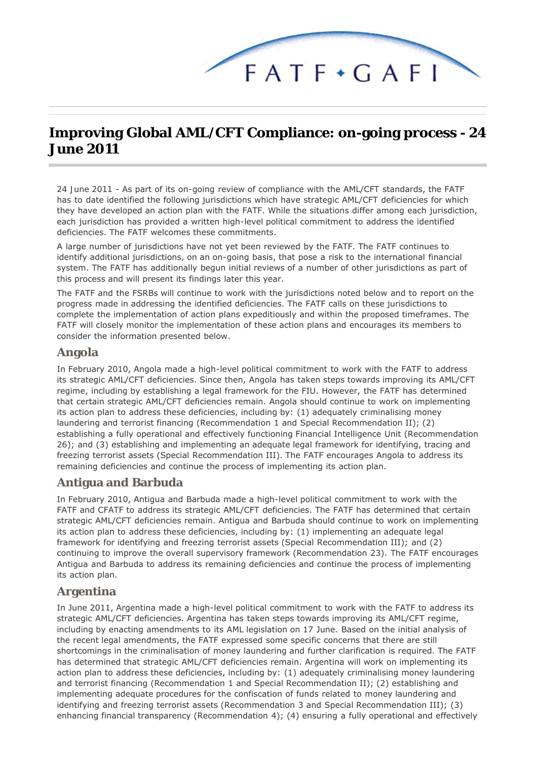

# **Improving Global AML/CFT Compliance: on-going process - 24 June 2011**

*24 June 2011* - As part of its on-going review of compliance with the AML/CFT standards, the FATF has to date identified the following jurisdictions which have strategic AML/CFT deficiencies for which they have developed an action plan with the FATF. While the situations differ among each jurisdiction, each jurisdiction has provided a written high-level political commitment to address the identified deficiencies. The FATF welcomes these commitments.

A large number of jurisdictions have not yet been reviewed by the FATF. The FATF continues to identify additional jurisdictions, on an on-going basis, that pose a risk to the international financial system. The FATF has additionally begun initial reviews of a number of other jurisdictions as part of this process and will present its findings later this year.

The FATF and the FSRBs will continue to work with the jurisdictions noted below and to report on the progress made in addressing the identified deficiencies. The FATF calls on these jurisdictions to complete the implementation of action plans expeditiously and within the proposed timeframes. The FATF will closely monitor the implementation of these action plans and encourages its members to consider the information presented below.

#### **Angola**

In February 2010, Angola made a high-level political commitment to work with the FATF to address its strategic AML/CFT deficiencies. Since then, Angola has taken steps towards improving its AML/CFT regime, including by establishing a legal framework for the FIU. However, the FATF has determined that certain strategic AML/CFT deficiencies remain. Angola should continue to work on implementing its action plan to address these deficiencies, including by: (1) adequately criminalising money laundering and terrorist financing (Recommendation 1 and Special Recommendation II); (2) establishing a fully operational and effectively functioning Financial Intelligence Unit (Recommendation 26); and (3) establishing and implementing an adequate legal framework for identifying, tracing and freezing terrorist assets (Special Recommendation III). The FATF encourages Angola to address its remaining deficiencies and continue the process of implementing its action plan.

#### **Antigua and Barbuda**

In February 2010, Antigua and Barbuda made a high-level political commitment to work with the FATF and CFATF to address its strategic AML/CFT deficiencies. The FATF has determined that certain strategic AML/CFT deficiencies remain. Antigua and Barbuda should continue to work on implementing its action plan to address these deficiencies, including by: (1) implementing an adequate legal framework for identifying and freezing terrorist assets (Special Recommendation III); and (2) continuing to improve the overall supervisory framework (Recommendation 23). The FATF encourages Antigua and Barbuda to address its remaining deficiencies and continue the process of implementing its action plan.

#### **Argentina**

In June 2011, Argentina made a high-level political commitment to work with the FATF to address its strategic AML/CFT deficiencies. Argentina has taken steps towards improving its AML/CFT regime, including by enacting amendments to its AML legislation on 17 June. Based on the initial analysis of the recent legal amendments, the FATF expressed some specific concerns that there are still shortcomings in the criminalisation of money laundering and further clarification is required. The FATF has determined that strategic AML/CFT deficiencies remain. Argentina will work on implementing its action plan to address these deficiencies, including by: (1) adequately criminalising money laundering and terrorist financing (Recommendation 1 and Special Recommendation II); (2) establishing and implementing adequate procedures for the confiscation of funds related to money laundering and identifying and freezing terrorist assets (Recommendation 3 and Special Recommendation III); (3) enhancing financial transparency (Recommendation 4); (4) ensuring a fully operational and effectively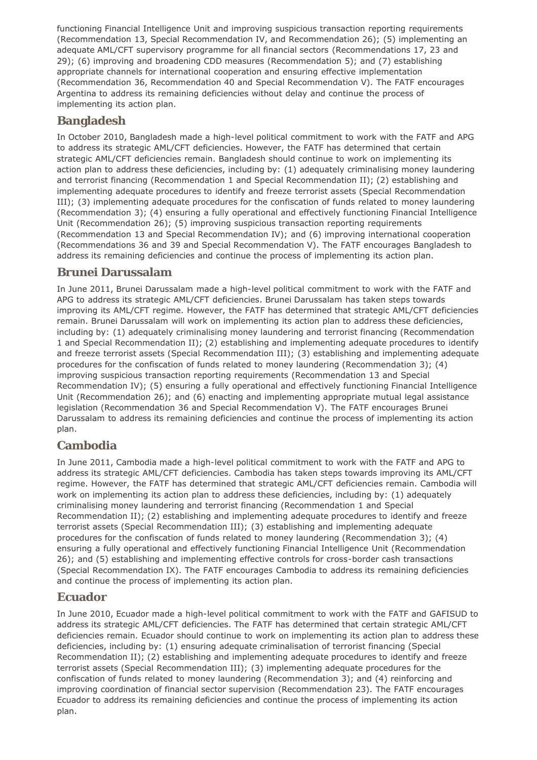functioning Financial Intelligence Unit and improving suspicious transaction reporting requirements (Recommendation 13, Special Recommendation IV, and Recommendation 26); (5) implementing an adequate AML/CFT supervisory programme for all financial sectors (Recommendations 17, 23 and 29); (6) improving and broadening CDD measures (Recommendation 5); and (7) establishing appropriate channels for international cooperation and ensuring effective implementation (Recommendation 36, Recommendation 40 and Special Recommendation V). The FATF encourages Argentina to address its remaining deficiencies without delay and continue the process of implementing its action plan.

### **Bangladesh**

In October 2010, Bangladesh made a high-level political commitment to work with the FATF and APG to address its strategic AML/CFT deficiencies. However, the FATF has determined that certain strategic AML/CFT deficiencies remain. Bangladesh should continue to work on implementing its action plan to address these deficiencies, including by: (1) adequately criminalising money laundering and terrorist financing (Recommendation 1 and Special Recommendation II); (2) establishing and implementing adequate procedures to identify and freeze terrorist assets (Special Recommendation III); (3) implementing adequate procedures for the confiscation of funds related to money laundering (Recommendation 3); (4) ensuring a fully operational and effectively functioning Financial Intelligence Unit (Recommendation 26); (5) improving suspicious transaction reporting requirements (Recommendation 13 and Special Recommendation IV); and (6) improving international cooperation (Recommendations 36 and 39 and Special Recommendation V). The FATF encourages Bangladesh to address its remaining deficiencies and continue the process of implementing its action plan.

### **Brunei Darussalam**

In June 2011, Brunei Darussalam made a high-level political commitment to work with the FATF and APG to address its strategic AML/CFT deficiencies. Brunei Darussalam has taken steps towards improving its AML/CFT regime. However, the FATF has determined that strategic AML/CFT deficiencies remain. Brunei Darussalam will work on implementing its action plan to address these deficiencies, including by: (1) adequately criminalising money laundering and terrorist financing (Recommendation 1 and Special Recommendation II); (2) establishing and implementing adequate procedures to identify and freeze terrorist assets (Special Recommendation III); (3) establishing and implementing adequate procedures for the confiscation of funds related to money laundering (Recommendation 3); (4) improving suspicious transaction reporting requirements (Recommendation 13 and Special Recommendation IV); (5) ensuring a fully operational and effectively functioning Financial Intelligence Unit (Recommendation 26); and (6) enacting and implementing appropriate mutual legal assistance legislation (Recommendation 36 and Special Recommendation V). The FATF encourages Brunei Darussalam to address its remaining deficiencies and continue the process of implementing its action plan.

#### **Cambodia**

In June 2011, Cambodia made a high-level political commitment to work with the FATF and APG to address its strategic AML/CFT deficiencies. Cambodia has taken steps towards improving its AML/CFT regime. However, the FATF has determined that strategic AML/CFT deficiencies remain. Cambodia will work on implementing its action plan to address these deficiencies, including by: (1) adequately criminalising money laundering and terrorist financing (Recommendation 1 and Special Recommendation II); (2) establishing and implementing adequate procedures to identify and freeze terrorist assets (Special Recommendation III); (3) establishing and implementing adequate procedures for the confiscation of funds related to money laundering (Recommendation 3); (4) ensuring a fully operational and effectively functioning Financial Intelligence Unit (Recommendation 26); and (5) establishing and implementing effective controls for cross-border cash transactions (Special Recommendation IX). The FATF encourages Cambodia to address its remaining deficiencies and continue the process of implementing its action plan.

### **Ecuador**

In June 2010, Ecuador made a high-level political commitment to work with the FATF and GAFISUD to address its strategic AML/CFT deficiencies. The FATF has determined that certain strategic AML/CFT deficiencies remain. Ecuador should continue to work on implementing its action plan to address these deficiencies, including by: (1) ensuring adequate criminalisation of terrorist financing (Special Recommendation II); (2) establishing and implementing adequate procedures to identify and freeze terrorist assets (Special Recommendation III); (3) implementing adequate procedures for the confiscation of funds related to money laundering (Recommendation 3); and (4) reinforcing and improving coordination of financial sector supervision (Recommendation 23). The FATF encourages Ecuador to address its remaining deficiencies and continue the process of implementing its action plan.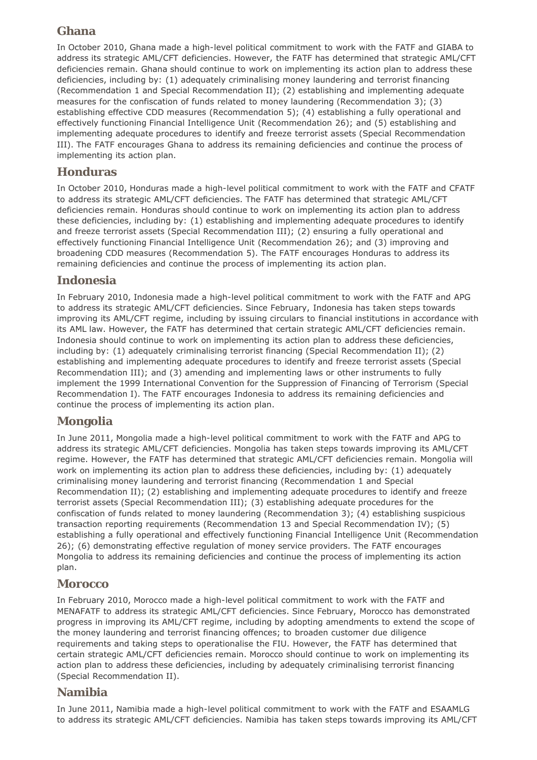# **Ghana**

In October 2010, Ghana made a high-level political commitment to work with the FATF and GIABA to address its strategic AML/CFT deficiencies. However, the FATF has determined that strategic AML/CFT deficiencies remain. Ghana should continue to work on implementing its action plan to address these deficiencies, including by: (1) adequately criminalising money laundering and terrorist financing (Recommendation 1 and Special Recommendation II); (2) establishing and implementing adequate measures for the confiscation of funds related to money laundering (Recommendation 3); (3) establishing effective CDD measures (Recommendation 5); (4) establishing a fully operational and effectively functioning Financial Intelligence Unit (Recommendation 26); and (5) establishing and implementing adequate procedures to identify and freeze terrorist assets (Special Recommendation III). The FATF encourages Ghana to address its remaining deficiencies and continue the process of implementing its action plan.

### **Honduras**

In October 2010, Honduras made a high-level political commitment to work with the FATF and CFATF to address its strategic AML/CFT deficiencies. The FATF has determined that strategic AML/CFT deficiencies remain. Honduras should continue to work on implementing its action plan to address these deficiencies, including by: (1) establishing and implementing adequate procedures to identify and freeze terrorist assets (Special Recommendation III); (2) ensuring a fully operational and effectively functioning Financial Intelligence Unit (Recommendation 26); and (3) improving and broadening CDD measures (Recommendation 5). The FATF encourages Honduras to address its remaining deficiencies and continue the process of implementing its action plan.

### **Indonesia**

In February 2010, Indonesia made a high-level political commitment to work with the FATF and APG to address its strategic AML/CFT deficiencies. Since February, Indonesia has taken steps towards improving its AML/CFT regime, including by issuing circulars to financial institutions in accordance with its AML law. However, the FATF has determined that certain strategic AML/CFT deficiencies remain. Indonesia should continue to work on implementing its action plan to address these deficiencies, including by: (1) adequately criminalising terrorist financing (Special Recommendation II); (2) establishing and implementing adequate procedures to identify and freeze terrorist assets (Special Recommendation III); and (3) amending and implementing laws or other instruments to fully implement the 1999 International Convention for the Suppression of Financing of Terrorism (Special Recommendation I). The FATF encourages Indonesia to address its remaining deficiencies and continue the process of implementing its action plan.

### **Mongolia**

In June 2011, Mongolia made a high-level political commitment to work with the FATF and APG to address its strategic AML/CFT deficiencies. Mongolia has taken steps towards improving its AML/CFT regime. However, the FATF has determined that strategic AML/CFT deficiencies remain. Mongolia will work on implementing its action plan to address these deficiencies, including by: (1) adequately criminalising money laundering and terrorist financing (Recommendation 1 and Special Recommendation II); (2) establishing and implementing adequate procedures to identify and freeze terrorist assets (Special Recommendation III); (3) establishing adequate procedures for the confiscation of funds related to money laundering (Recommendation 3); (4) establishing suspicious transaction reporting requirements (Recommendation 13 and Special Recommendation IV); (5) establishing a fully operational and effectively functioning Financial Intelligence Unit (Recommendation 26); (6) demonstrating effective regulation of money service providers. The FATF encourages Mongolia to address its remaining deficiencies and continue the process of implementing its action plan.

#### **Morocco**

In February 2010, Morocco made a high-level political commitment to work with the FATF and MENAFATF to address its strategic AML/CFT deficiencies. Since February, Morocco has demonstrated progress in improving its AML/CFT regime, including by adopting amendments to extend the scope of the money laundering and terrorist financing offences; to broaden customer due diligence requirements and taking steps to operationalise the FIU. However, the FATF has determined that certain strategic AML/CFT deficiencies remain. Morocco should continue to work on implementing its action plan to address these deficiencies, including by adequately criminalising terrorist financing (Special Recommendation II).

### **Namibia**

In June 2011, Namibia made a high-level political commitment to work with the FATF and ESAAMLG to address its strategic AML/CFT deficiencies. Namibia has taken steps towards improving its AML/CFT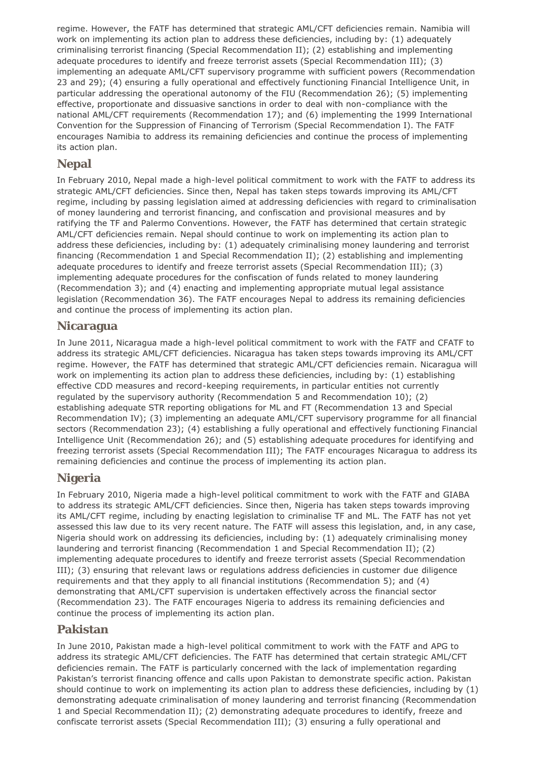regime. However, the FATF has determined that strategic AML/CFT deficiencies remain. Namibia will work on implementing its action plan to address these deficiencies, including by: (1) adequately criminalising terrorist financing (Special Recommendation II); (2) establishing and implementing adequate procedures to identify and freeze terrorist assets (Special Recommendation III); (3) implementing an adequate AML/CFT supervisory programme with sufficient powers (Recommendation 23 and 29); (4) ensuring a fully operational and effectively functioning Financial Intelligence Unit, in particular addressing the operational autonomy of the FIU (Recommendation 26); (5) implementing effective, proportionate and dissuasive sanctions in order to deal with non-compliance with the national AML/CFT requirements (Recommendation 17); and (6) implementing the 1999 International Convention for the Suppression of Financing of Terrorism (Special Recommendation I). The FATF encourages Namibia to address its remaining deficiencies and continue the process of implementing its action plan.

### **Nepal**

In February 2010, Nepal made a high-level political commitment to work with the FATF to address its strategic AML/CFT deficiencies. Since then, Nepal has taken steps towards improving its AML/CFT regime, including by passing legislation aimed at addressing deficiencies with regard to criminalisation of money laundering and terrorist financing, and confiscation and provisional measures and by ratifying the TF and Palermo Conventions. However, the FATF has determined that certain strategic AML/CFT deficiencies remain. Nepal should continue to work on implementing its action plan to address these deficiencies, including by: (1) adequately criminalising money laundering and terrorist financing (Recommendation 1 and Special Recommendation II); (2) establishing and implementing adequate procedures to identify and freeze terrorist assets (Special Recommendation III); (3) implementing adequate procedures for the confiscation of funds related to money laundering (Recommendation 3); and (4) enacting and implementing appropriate mutual legal assistance legislation (Recommendation 36). The FATF encourages Nepal to address its remaining deficiencies and continue the process of implementing its action plan.

#### **Nicaragua**

In June 2011, Nicaragua made a high-level political commitment to work with the FATF and CFATF to address its strategic AML/CFT deficiencies. Nicaragua has taken steps towards improving its AML/CFT regime. However, the FATF has determined that strategic AML/CFT deficiencies remain. Nicaragua will work on implementing its action plan to address these deficiencies, including by: (1) establishing effective CDD measures and record-keeping requirements, in particular entities not currently regulated by the supervisory authority (Recommendation 5 and Recommendation 10); (2) establishing adequate STR reporting obligations for ML and FT (Recommendation 13 and Special Recommendation IV); (3) implementing an adequate AML/CFT supervisory programme for all financial sectors (Recommendation 23); (4) establishing a fully operational and effectively functioning Financial Intelligence Unit (Recommendation 26); and (5) establishing adequate procedures for identifying and freezing terrorist assets (Special Recommendation III); The FATF encourages Nicaragua to address its remaining deficiencies and continue the process of implementing its action plan.

#### **Nigeria**

In February 2010, Nigeria made a high-level political commitment to work with the FATF and GIABA to address its strategic AML/CFT deficiencies. Since then, Nigeria has taken steps towards improving its AML/CFT regime, including by enacting legislation to criminalise TF and ML. The FATF has not yet assessed this law due to its very recent nature. The FATF will assess this legislation, and, in any case, Nigeria should work on addressing its deficiencies, including by: (1) adequately criminalising money laundering and terrorist financing (Recommendation 1 and Special Recommendation II); (2) implementing adequate procedures to identify and freeze terrorist assets (Special Recommendation III); (3) ensuring that relevant laws or regulations address deficiencies in customer due diligence requirements and that they apply to all financial institutions (Recommendation 5); and (4) demonstrating that AML/CFT supervision is undertaken effectively across the financial sector (Recommendation 23). The FATF encourages Nigeria to address its remaining deficiencies and continue the process of implementing its action plan.

#### **Pakistan**

In June 2010, Pakistan made a high-level political commitment to work with the FATF and APG to address its strategic AML/CFT deficiencies. The FATF has determined that certain strategic AML/CFT deficiencies remain. The FATF is particularly concerned with the lack of implementation regarding Pakistan's terrorist financing offence and calls upon Pakistan to demonstrate specific action. Pakistan should continue to work on implementing its action plan to address these deficiencies, including by (1) demonstrating adequate criminalisation of money laundering and terrorist financing (Recommendation 1 and Special Recommendation II); (2) demonstrating adequate procedures to identify, freeze and confiscate terrorist assets (Special Recommendation III); (3) ensuring a fully operational and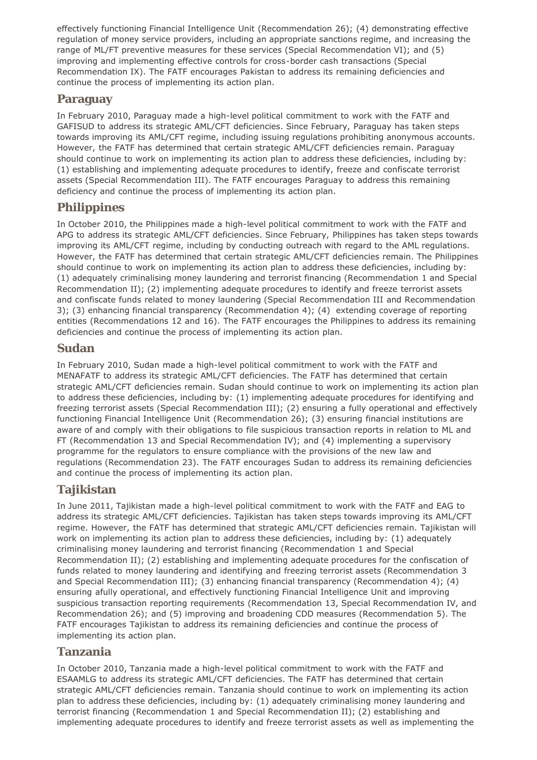effectively functioning Financial Intelligence Unit (Recommendation 26); (4) demonstrating effective regulation of money service providers, including an appropriate sanctions regime, and increasing the range of ML/FT preventive measures for these services (Special Recommendation VI); and (5) improving and implementing effective controls for cross-border cash transactions (Special Recommendation IX). The FATF encourages Pakistan to address its remaining deficiencies and continue the process of implementing its action plan.

### **Paraguay**

In February 2010, Paraguay made a high-level political commitment to work with the FATF and GAFISUD to address its strategic AML/CFT deficiencies. Since February, Paraguay has taken steps towards improving its AML/CFT regime, including issuing regulations prohibiting anonymous accounts. However, the FATF has determined that certain strategic AML/CFT deficiencies remain. Paraguay should continue to work on implementing its action plan to address these deficiencies, including by: (1) establishing and implementing adequate procedures to identify, freeze and confiscate terrorist assets (Special Recommendation III). The FATF encourages Paraguay to address this remaining deficiency and continue the process of implementing its action plan.

# **Philippines**

In October 2010, the Philippines made a high-level political commitment to work with the FATF and APG to address its strategic AML/CFT deficiencies. Since February, Philippines has taken steps towards improving its AML/CFT regime, including by conducting outreach with regard to the AML regulations. However, the FATF has determined that certain strategic AML/CFT deficiencies remain. The Philippines should continue to work on implementing its action plan to address these deficiencies, including by: (1) adequately criminalising money laundering and terrorist financing (Recommendation 1 and Special Recommendation II); (2) implementing adequate procedures to identify and freeze terrorist assets and confiscate funds related to money laundering (Special Recommendation III and Recommendation 3); (3) enhancing financial transparency (Recommendation 4); (4) extending coverage of reporting entities (Recommendations 12 and 16). The FATF encourages the Philippines to address its remaining deficiencies and continue the process of implementing its action plan.

#### **Sudan**

In February 2010, Sudan made a high-level political commitment to work with the FATF and MENAFATF to address its strategic AML/CFT deficiencies. The FATF has determined that certain strategic AML/CFT deficiencies remain. Sudan should continue to work on implementing its action plan to address these deficiencies, including by: (1) implementing adequate procedures for identifying and freezing terrorist assets (Special Recommendation III); (2) ensuring a fully operational and effectively functioning Financial Intelligence Unit (Recommendation 26); (3) ensuring financial institutions are aware of and comply with their obligations to file suspicious transaction reports in relation to ML and FT (Recommendation 13 and Special Recommendation IV); and (4) implementing a supervisory programme for the regulators to ensure compliance with the provisions of the new law and regulations (Recommendation 23). The FATF encourages Sudan to address its remaining deficiencies and continue the process of implementing its action plan.

### **Tajikistan**

In June 2011, Tajikistan made a high-level political commitment to work with the FATF and EAG to address its strategic AML/CFT deficiencies. Tajikistan has taken steps towards improving its AML/CFT regime. However, the FATF has determined that strategic AML/CFT deficiencies remain. Tajikistan will work on implementing its action plan to address these deficiencies, including by: (1) adequately criminalising money laundering and terrorist financing (Recommendation 1 and Special Recommendation II); (2) establishing and implementing adequate procedures for the confiscation of funds related to money laundering and identifying and freezing terrorist assets (Recommendation 3 and Special Recommendation III); (3) enhancing financial transparency (Recommendation 4); (4) ensuring afully operational, and effectively functioning Financial Intelligence Unit and improving suspicious transaction reporting requirements (Recommendation 13, Special Recommendation IV, and Recommendation 26); and (5) improving and broadening CDD measures (Recommendation 5). The FATF encourages Tajikistan to address its remaining deficiencies and continue the process of implementing its action plan.

#### **Tanzania**

In October 2010, Tanzania made a high-level political commitment to work with the FATF and ESAAMLG to address its strategic AML/CFT deficiencies. The FATF has determined that certain strategic AML/CFT deficiencies remain. Tanzania should continue to work on implementing its action plan to address these deficiencies, including by: (1) adequately criminalising money laundering and terrorist financing (Recommendation 1 and Special Recommendation II); (2) establishing and implementing adequate procedures to identify and freeze terrorist assets as well as implementing the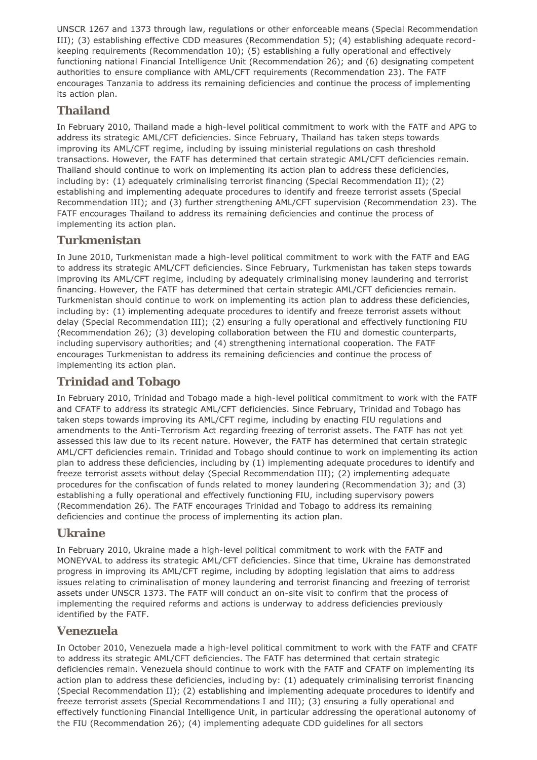UNSCR 1267 and 1373 through law, regulations or other enforceable means (Special Recommendation III); (3) establishing effective CDD measures (Recommendation 5); (4) establishing adequate recordkeeping requirements (Recommendation 10); (5) establishing a fully operational and effectively functioning national Financial Intelligence Unit (Recommendation 26); and (6) designating competent authorities to ensure compliance with AML/CFT requirements (Recommendation 23). The FATF encourages Tanzania to address its remaining deficiencies and continue the process of implementing its action plan.

### **Thailand**

In February 2010, Thailand made a high-level political commitment to work with the FATF and APG to address its strategic AML/CFT deficiencies. Since February, Thailand has taken steps towards improving its AML/CFT regime, including by issuing ministerial regulations on cash threshold transactions. However, the FATF has determined that certain strategic AML/CFT deficiencies remain. Thailand should continue to work on implementing its action plan to address these deficiencies, including by: (1) adequately criminalising terrorist financing (Special Recommendation II); (2) establishing and implementing adequate procedures to identify and freeze terrorist assets (Special Recommendation III); and (3) further strengthening AML/CFT supervision (Recommendation 23). The FATF encourages Thailand to address its remaining deficiencies and continue the process of implementing its action plan.

### **Turkmenistan**

In June 2010, Turkmenistan made a high-level political commitment to work with the FATF and EAG to address its strategic AML/CFT deficiencies. Since February, Turkmenistan has taken steps towards improving its AML/CFT regime, including by adequately criminalising money laundering and terrorist financing. However, the FATF has determined that certain strategic AML/CFT deficiencies remain. Turkmenistan should continue to work on implementing its action plan to address these deficiencies, including by: (1) implementing adequate procedures to identify and freeze terrorist assets without delay (Special Recommendation III); (2) ensuring a fully operational and effectively functioning FIU (Recommendation 26); (3) developing collaboration between the FIU and domestic counterparts, including supervisory authorities; and (4) strengthening international cooperation. The FATF encourages Turkmenistan to address its remaining deficiencies and continue the process of implementing its action plan.

### **Trinidad and Tobago**

In February 2010, Trinidad and Tobago made a high-level political commitment to work with the FATF and CFATF to address its strategic AML/CFT deficiencies. Since February, Trinidad and Tobago has taken steps towards improving its AML/CFT regime, including by enacting FIU regulations and amendments to the Anti-Terrorism Act regarding freezing of terrorist assets. The FATF has not yet assessed this law due to its recent nature. However, the FATF has determined that certain strategic AML/CFT deficiencies remain. Trinidad and Tobago should continue to work on implementing its action plan to address these deficiencies, including by (1) implementing adequate procedures to identify and freeze terrorist assets without delay (Special Recommendation III); (2) implementing adequate procedures for the confiscation of funds related to money laundering (Recommendation 3); and (3) establishing a fully operational and effectively functioning FIU, including supervisory powers (Recommendation 26). The FATF encourages Trinidad and Tobago to address its remaining deficiencies and continue the process of implementing its action plan.

#### **Ukraine**

In February 2010, Ukraine made a high-level political commitment to work with the FATF and MONEYVAL to address its strategic AML/CFT deficiencies. Since that time, Ukraine has demonstrated progress in improving its AML/CFT regime, including by adopting legislation that aims to address issues relating to criminalisation of money laundering and terrorist financing and freezing of terrorist assets under UNSCR 1373. The FATF will conduct an on-site visit to confirm that the process of implementing the required reforms and actions is underway to address deficiencies previously identified by the FATF.

#### **Venezuela**

In October 2010, Venezuela made a high-level political commitment to work with the FATF and CFATF to address its strategic AML/CFT deficiencies. The FATF has determined that certain strategic deficiencies remain. Venezuela should continue to work with the FATF and CFATF on implementing its action plan to address these deficiencies, including by: (1) adequately criminalising terrorist financing (Special Recommendation II); (2) establishing and implementing adequate procedures to identify and freeze terrorist assets (Special Recommendations I and III); (3) ensuring a fully operational and effectively functioning Financial Intelligence Unit, in particular addressing the operational autonomy of the FIU (Recommendation 26); (4) implementing adequate CDD guidelines for all sectors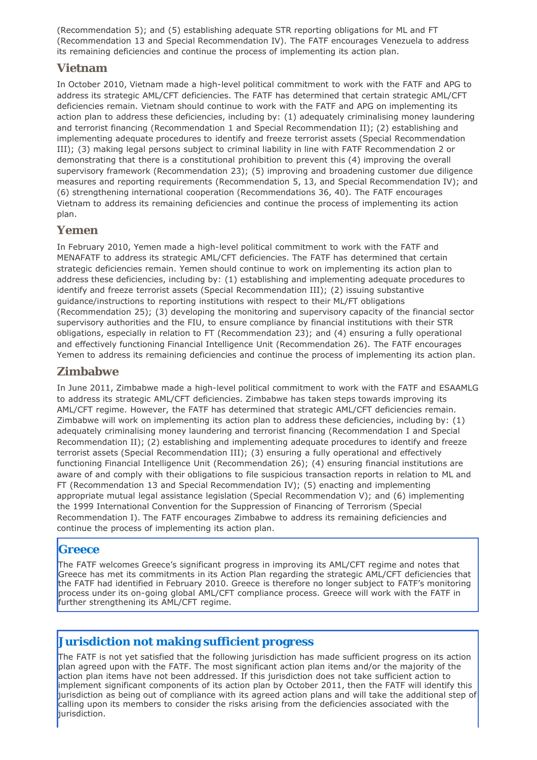(Recommendation 5); and (5) establishing adequate STR reporting obligations for ML and FT (Recommendation 13 and Special Recommendation IV). The FATF encourages Venezuela to address its remaining deficiencies and continue the process of implementing its action plan.

### **Vietnam**

In October 2010, Vietnam made a high-level political commitment to work with the FATF and APG to address its strategic AML/CFT deficiencies. The FATF has determined that certain strategic AML/CFT deficiencies remain. Vietnam should continue to work with the FATF and APG on implementing its action plan to address these deficiencies, including by: (1) adequately criminalising money laundering and terrorist financing (Recommendation 1 and Special Recommendation II); (2) establishing and implementing adequate procedures to identify and freeze terrorist assets (Special Recommendation III); (3) making legal persons subject to criminal liability in line with FATF Recommendation 2 or demonstrating that there is a constitutional prohibition to prevent this (4) improving the overall supervisory framework (Recommendation 23); (5) improving and broadening customer due diligence measures and reporting requirements (Recommendation 5, 13, and Special Recommendation IV); and (6) strengthening international cooperation (Recommendations 36, 40). The FATF encourages Vietnam to address its remaining deficiencies and continue the process of implementing its action plan.

#### **Yemen**

In February 2010, Yemen made a high-level political commitment to work with the FATF and MENAFATF to address its strategic AML/CFT deficiencies. The FATF has determined that certain strategic deficiencies remain. Yemen should continue to work on implementing its action plan to address these deficiencies, including by: (1) establishing and implementing adequate procedures to identify and freeze terrorist assets (Special Recommendation III); (2) issuing substantive guidance/instructions to reporting institutions with respect to their ML/FT obligations (Recommendation 25); (3) developing the monitoring and supervisory capacity of the financial sector supervisory authorities and the FIU, to ensure compliance by financial institutions with their STR obligations, especially in relation to FT (Recommendation 23); and (4) ensuring a fully operational and effectively functioning Financial Intelligence Unit (Recommendation 26). The FATF encourages Yemen to address its remaining deficiencies and continue the process of implementing its action plan.

### **Zimbabwe**

In June 2011, Zimbabwe made a high-level political commitment to work with the FATF and ESAAMLG to address its strategic AML/CFT deficiencies. Zimbabwe has taken steps towards improving its AML/CFT regime. However, the FATF has determined that strategic AML/CFT deficiencies remain. Zimbabwe will work on implementing its action plan to address these deficiencies, including by: (1) adequately criminalising money laundering and terrorist financing (Recommendation I and Special Recommendation II); (2) establishing and implementing adequate procedures to identify and freeze terrorist assets (Special Recommendation III); (3) ensuring a fully operational and effectively functioning Financial Intelligence Unit (Recommendation 26); (4) ensuring financial institutions are aware of and comply with their obligations to file suspicious transaction reports in relation to ML and FT (Recommendation 13 and Special Recommendation IV); (5) enacting and implementing appropriate mutual legal assistance legislation (Special Recommendation V); and (6) implementing the 1999 International Convention for the Suppression of Financing of Terrorism (Special Recommendation I). The FATF encourages Zimbabwe to address its remaining deficiencies and continue the process of implementing its action plan.

#### **Greece**

The FATF welcomes Greece's significant progress in improving its AML/CFT regime and notes that Greece has met its commitments in its Action Plan regarding the strategic AML/CFT deficiencies that the FATF had identified in February 2010. Greece is therefore no longer subject to FATF's monitoring process under its on-going global AML/CFT compliance process. Greece will work with the FATF in further strengthening its AML/CFT regime.

### **Jurisdiction not making sufficient progress**

The FATF is not yet satisfied that the following jurisdiction has made sufficient progress on its action plan agreed upon with the FATF. The most significant action plan items and/or the majority of the action plan items have not been addressed. If this jurisdiction does not take sufficient action to implement significant components of its action plan by October 2011, then the FATF will identify this jurisdiction as being out of compliance with its agreed action plans and will take the additional step of calling upon its members to consider the risks arising from the deficiencies associated with the jurisdiction.